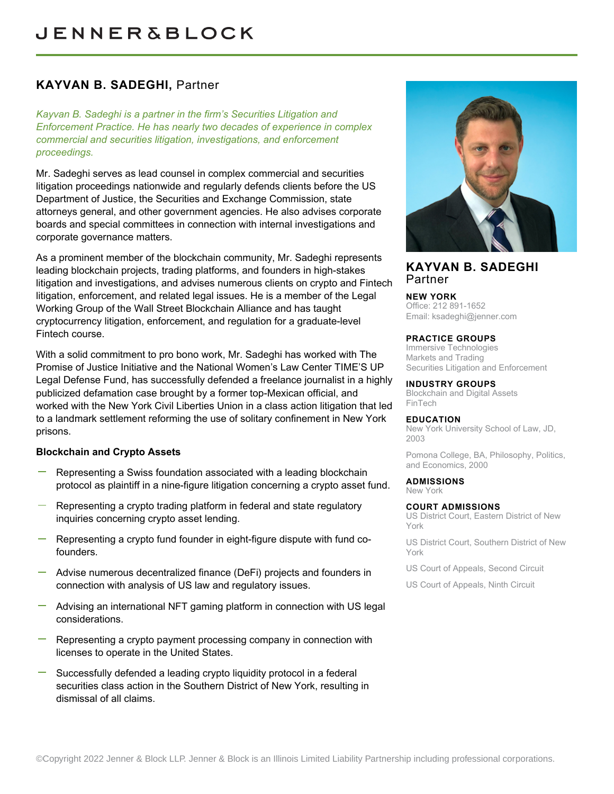# **KAYVAN B. SADEGHI,** Partner

*Kayvan B. Sadeghi is a partner in the firm's Securities Litigation and Enforcement Practice. He has nearly two decades of experience in complex commercial and securities litigation, investigations, and enforcement proceedings.*

Mr. Sadeghi serves as lead counsel in complex commercial and securities litigation proceedings nationwide and regularly defends clients before the US Department of Justice, the Securities and Exchange Commission, state attorneys general, and other government agencies. He also advises corporate boards and special committees in connection with internal investigations and corporate governance matters.

As a prominent member of the blockchain community, Mr. Sadeghi represents leading blockchain projects, trading platforms, and founders in high-stakes litigation and investigations, and advises numerous clients on crypto and Fintech litigation, enforcement, and related legal issues. He is a member of the Legal Working Group of the Wall Street Blockchain Alliance and has taught cryptocurrency litigation, enforcement, and regulation for a graduate-level Fintech course.

With a solid commitment to pro bono work, Mr. Sadeghi has worked with The Promise of Justice Initiative and the National Women's Law Center TIME'S UP Legal Defense Fund, has successfully defended a freelance journalist in a highly publicized defamation case brought by a former top-Mexican official, and worked with the New York Civil Liberties Union in a class action litigation that led to a landmark settlement reforming the use of solitary confinement in New York prisons.

## **Blockchain and Crypto Assets**

- Representing a Swiss foundation associated with a leading blockchain protocol as plaintiff in a nine-figure litigation concerning a crypto asset fund.
- Representing a crypto trading platform in federal and state regulatory inquiries concerning crypto asset lending.
- Representing a crypto fund founder in eight-figure dispute with fund cofounders.
- Advise numerous decentralized finance (DeFi) projects and founders in connection with analysis of US law and regulatory issues.
- Advising an international NFT gaming platform in connection with US legal considerations.
- Representing a crypto payment processing company in connection with licenses to operate in the United States.
- Successfully defended a leading crypto liquidity protocol in a federal securities class action in the Southern District of New York, resulting in dismissal of all claims.



## **KAYVAN B. SADEGHI** Partner

#### **NEW YORK**

Office: 212 891-1652 Email: [ksadeghi@jenner.com](mailto:ksadeghi@jenner.com)

#### **PRACTICE GROUPS**

Immersive Technologies Markets and Trading Securities Litigation and Enforcement

#### **INDUSTRY GROUPS**

Blockchain and Digital Assets FinTech

#### **EDUCATION**

New York University School of Law, JD, 2003

Pomona College, BA, Philosophy, Politics, and Economics, 2000

**ADMISSIONS** New York

#### **COURT ADMISSIONS**

US District Court, Eastern District of New York

US District Court, Southern District of New York

US Court of Appeals, Second Circuit

US Court of Appeals, Ninth Circuit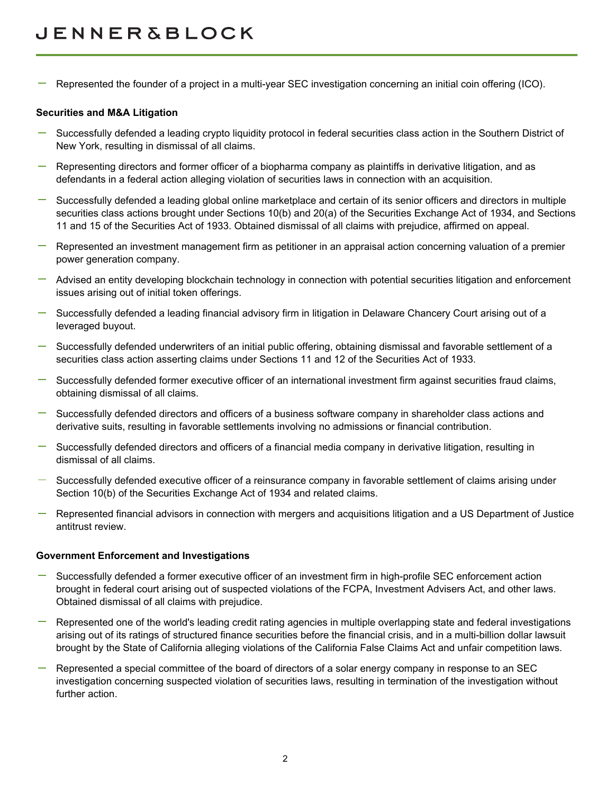Represented the founder of a project in a multi-year SEC investigation concerning an initial coin offering (ICO).

### **Securities and M&A Litigation**

- Successfully defended a leading crypto liquidity protocol in federal securities class action in the Southern District of New York, resulting in dismissal of all claims.
- Representing directors and former officer of a biopharma company as plaintiffs in derivative litigation, and as defendants in a federal action alleging violation of securities laws in connection with an acquisition.
- Successfully defended a leading global online marketplace and certain of its senior officers and directors in multiple securities class actions brought under Sections 10(b) and 20(a) of the Securities Exchange Act of 1934, and Sections 11 and 15 of the Securities Act of 1933. Obtained dismissal of all claims with prejudice, affirmed on appeal.
- Represented an investment management firm as petitioner in an appraisal action concerning valuation of a premier power generation company.
- Advised an entity developing blockchain technology in connection with potential securities litigation and enforcement issues arising out of initial token offerings.
- Successfully defended a leading financial advisory firm in litigation in Delaware Chancery Court arising out of a leveraged buyout.
- Successfully defended underwriters of an initial public offering, obtaining dismissal and favorable settlement of a securities class action asserting claims under Sections 11 and 12 of the Securities Act of 1933.
- Successfully defended former executive officer of an international investment firm against securities fraud claims, obtaining dismissal of all claims.
- Successfully defended directors and officers of a business software company in shareholder class actions and derivative suits, resulting in favorable settlements involving no admissions or financial contribution.
- Successfully defended directors and officers of a financial media company in derivative litigation, resulting in dismissal of all claims.
- Successfully defended executive officer of a reinsurance company in favorable settlement of claims arising under Section 10(b) of the Securities Exchange Act of 1934 and related claims.
- Represented financial advisors in connection with mergers and acquisitions litigation and a US Department of Justice antitrust review.

#### **Government Enforcement and Investigations**

- Successfully defended a former executive officer of an investment firm in high-profile SEC enforcement action brought in federal court arising out of suspected violations of the FCPA, Investment Advisers Act, and other laws. Obtained dismissal of all claims with prejudice.
- Represented one of the world's leading credit rating agencies in multiple overlapping state and federal investigations arising out of its ratings of structured finance securities before the financial crisis, and in a multi-billion dollar lawsuit brought by the State of California alleging violations of the California False Claims Act and unfair competition laws.
- Represented a special committee of the board of directors of a solar energy company in response to an SEC investigation concerning suspected violation of securities laws, resulting in termination of the investigation without further action.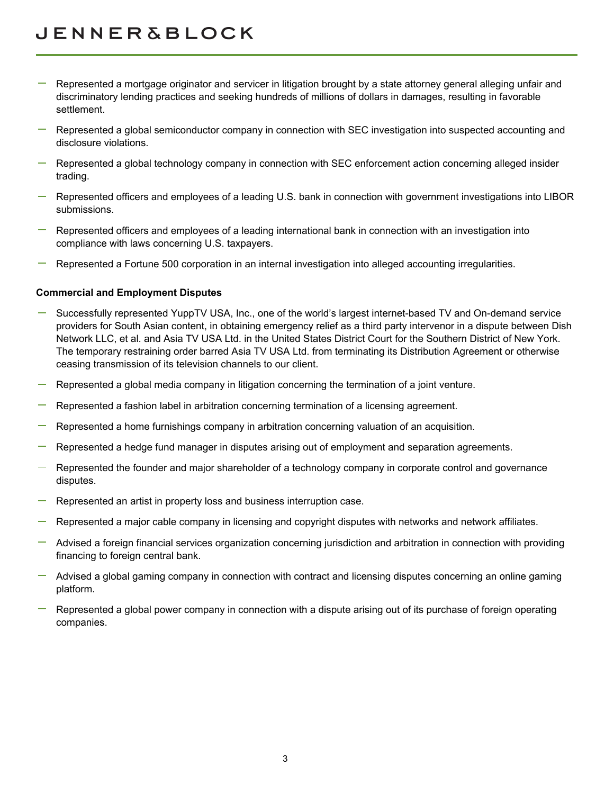# **JENNER&BLOCK**

- Represented a mortgage originator and servicer in litigation brought by a state attorney general alleging unfair and discriminatory lending practices and seeking hundreds of millions of dollars in damages, resulting in favorable settlement.
- Represented a global semiconductor company in connection with SEC investigation into suspected accounting and disclosure violations.
- $\overline{\phantom{a}}$  Represented a global technology company in connection with SEC enforcement action concerning alleged insider trading.
- Represented officers and employees of a leading U.S. bank in connection with government investigations into LIBOR submissions.
- Represented officers and employees of a leading international bank in connection with an investigation into compliance with laws concerning U.S. taxpayers.
- Represented a Fortune 500 corporation in an internal investigation into alleged accounting irregularities.

## **Commercial and Employment Disputes**

- Successfully represented YuppTV USA, Inc., one of the world's largest internet-based TV and On-demand service providers for South Asian content, in obtaining emergency relief as a third party intervenor in a dispute between Dish Network LLC, et al. and Asia TV USA Ltd. in the United States District Court for the Southern District of New York. The temporary restraining order barred Asia TV USA Ltd. from terminating its Distribution Agreement or otherwise ceasing transmission of its television channels to our client.
- Represented a global media company in litigation concerning the termination of a joint venture.
- Represented a fashion label in arbitration concerning termination of a licensing agreement.
- Represented a home furnishings company in arbitration concerning valuation of an acquisition.
- Represented a hedge fund manager in disputes arising out of employment and separation agreements.
- Represented the founder and major shareholder of a technology company in corporate control and governance disputes.
- Represented an artist in property loss and business interruption case.
- Represented a major cable company in licensing and copyright disputes with networks and network affiliates.
- Advised a foreign financial services organization concerning jurisdiction and arbitration in connection with providing financing to foreign central bank.
- Advised a global gaming company in connection with contract and licensing disputes concerning an online gaming platform.
- Represented a global power company in connection with a dispute arising out of its purchase of foreign operating companies.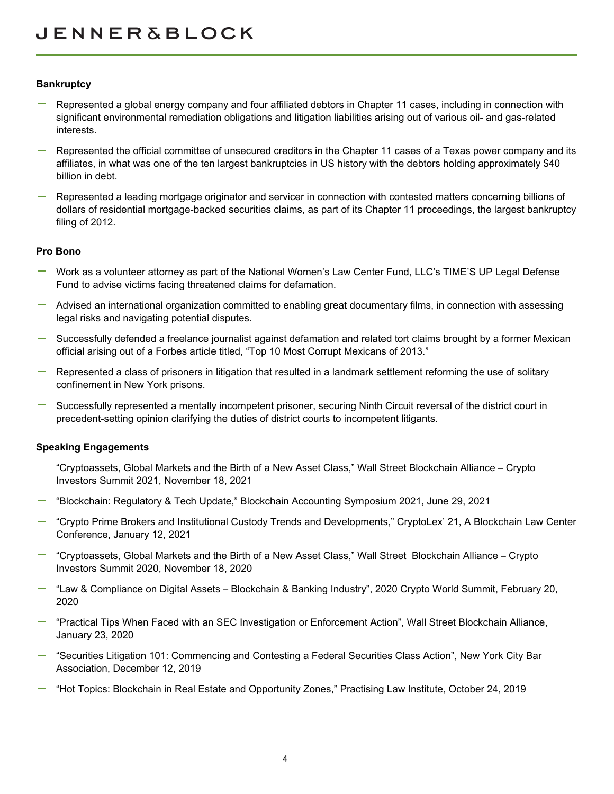## **Bankruptcy**

- Represented a global energy company and four affiliated debtors in Chapter 11 cases, including in connection with significant environmental remediation obligations and litigation liabilities arising out of various oil- and gas-related interests.
- Represented the official committee of unsecured creditors in the Chapter 11 cases of a Texas power company and its affiliates, in what was one of the ten largest bankruptcies in US history with the debtors holding approximately \$40 billion in debt.
- Represented a leading mortgage originator and servicer in connection with contested matters concerning billions of dollars of residential mortgage-backed securities claims, as part of its Chapter 11 proceedings, the largest bankruptcy filing of 2012.

#### **Pro Bono**

- Work as a volunteer attorney as part of the National Women's Law Center Fund, LLC's TIME'S UP Legal Defense Fund to advise victims facing threatened claims for defamation.
- $-$  Advised an international organization committed to enabling great documentary films, in connection with assessing legal risks and navigating potential disputes.
- Successfully defended a freelance journalist against defamation and related tort claims brought by a former Mexican official arising out of a Forbes article titled, "Top 10 Most Corrupt Mexicans of 2013."
- Represented a class of prisoners in litigation that resulted in a landmark settlement reforming the use of solitary confinement in New York prisons.
- Successfully represented a mentally incompetent prisoner, securing Ninth Circuit reversal of the district court in precedent-setting opinion clarifying the duties of district courts to incompetent litigants.

#### **Speaking Engagements**

- "Cryptoassets, Global Markets and the Birth of a New Asset Class," Wall Street Blockchain Alliance Crypto Investors Summit 2021, November 18, 2021
- "Blockchain: Regulatory & Tech Update," Blockchain Accounting Symposium 2021, June 29, 2021
- "Crypto Prime Brokers and Institutional Custody Trends and Developments," CryptoLex' 21, A Blockchain Law Center Conference, January 12, 2021
- "Cryptoassets, Global Markets and the Birth of a New Asset Class," Wall Street Blockchain Alliance Crypto Investors Summit 2020, November 18, 2020
- $-$  "Law & Compliance on Digital Assets Blockchain & Banking Industry", 2020 Crypto World Summit, February 20, 2020
- "Practical Tips When Faced with an SEC Investigation or Enforcement Action", Wall Street Blockchain Alliance, January 23, 2020
- "Securities Litigation 101: Commencing and Contesting a Federal Securities Class Action", New York City Bar Association, December 12, 2019
- "Hot Topics: Blockchain in Real Estate and Opportunity Zones," Practising Law Institute, October 24, 2019